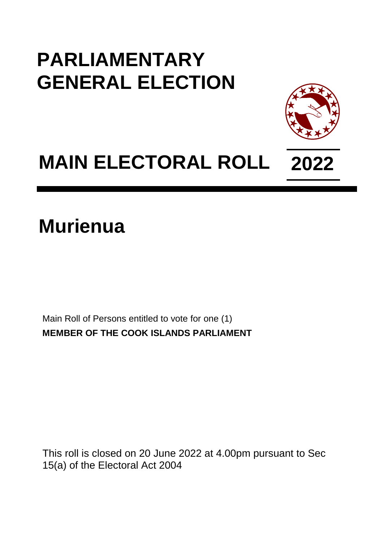## **PARLIAMENTARY GENERAL ELECTION**



## **MAIN ELECTORAL ROLL 2022**

**Murienua**

Main Roll of Persons entitled to vote for one (1) **MEMBER OF THE COOK ISLANDS PARLIAMENT**

This roll is closed on 20 June 2022 at 4.00pm pursuant to Sec 15(a) of the Electoral Act 2004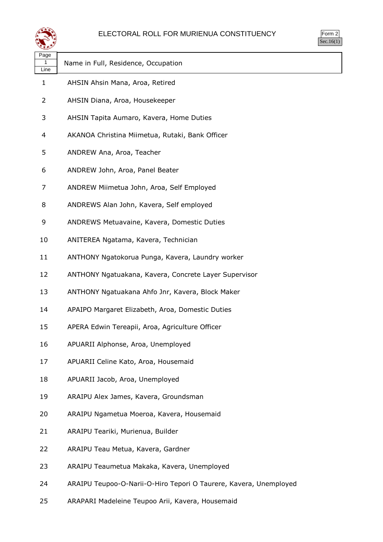

| $\sim$<br>ነrm<br>٠ |  |
|--------------------|--|
|                    |  |

| "***              |                                                                   |
|-------------------|-------------------------------------------------------------------|
| Page<br>1<br>Line | Name in Full, Residence, Occupation                               |
| 1                 | AHSIN Ahsin Mana, Aroa, Retired                                   |
| 2                 | AHSIN Diana, Aroa, Housekeeper                                    |
| 3                 | AHSIN Tapita Aumaro, Kavera, Home Duties                          |
| 4                 | AKANOA Christina Miimetua, Rutaki, Bank Officer                   |
| 5                 | ANDREW Ana, Aroa, Teacher                                         |
| 6                 | ANDREW John, Aroa, Panel Beater                                   |
| 7                 | ANDREW Miimetua John, Aroa, Self Employed                         |
| 8                 | ANDREWS Alan John, Kavera, Self employed                          |
| 9                 | ANDREWS Metuavaine, Kavera, Domestic Duties                       |
| 10                | ANITEREA Ngatama, Kavera, Technician                              |
| 11                | ANTHONY Ngatokorua Punga, Kavera, Laundry worker                  |
| 12                | ANTHONY Ngatuakana, Kavera, Concrete Layer Supervisor             |
| 13                | ANTHONY Ngatuakana Ahfo Jnr, Kavera, Block Maker                  |
| 14                | APAIPO Margaret Elizabeth, Aroa, Domestic Duties                  |
| 15                | APERA Edwin Tereapii, Aroa, Agriculture Officer                   |
| 16                | APUARII Alphonse, Aroa, Unemployed                                |
| 17                | APUARII Celine Kato, Aroa, Housemaid                              |
| 18                | APUARII Jacob, Aroa, Unemployed                                   |
| 19                | ARAIPU Alex James, Kavera, Groundsman                             |
| 20                | ARAIPU Ngametua Moeroa, Kavera, Housemaid                         |
| 21                | ARAIPU Teariki, Murienua, Builder                                 |
| 22                | ARAIPU Teau Metua, Kavera, Gardner                                |
| 23                | ARAIPU Teaumetua Makaka, Kavera, Unemployed                       |
| 24                | ARAIPU Teupoo-O-Narii-O-Hiro Tepori O Taurere, Kavera, Unemployed |

ARAPARI Madeleine Teupoo Arii, Kavera, Housemaid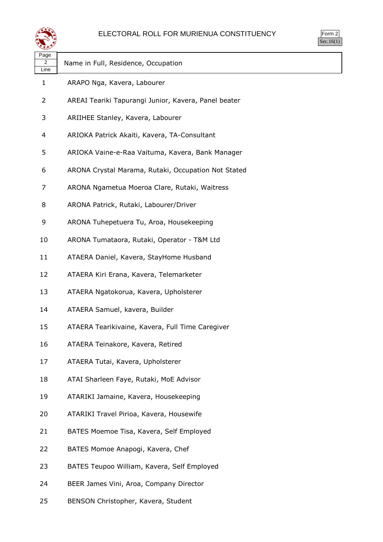

| orm<br>ッ |  |
|----------|--|
| ` 1      |  |

| પ⊷                |                                                      |
|-------------------|------------------------------------------------------|
| Page<br>2<br>Line | Name in Full, Residence, Occupation                  |
| $\mathbf{1}$      | ARAPO Nga, Kavera, Labourer                          |
| 2                 | AREAI Teariki Tapurangi Junior, Kavera, Panel beater |
| 3                 | ARIIHEE Stanley, Kavera, Labourer                    |
| 4                 | ARIOKA Patrick Akaiti, Kavera, TA-Consultant         |
| 5                 | ARIOKA Vaine-e-Raa Vaituma, Kavera, Bank Manager     |
| 6                 | ARONA Crystal Marama, Rutaki, Occupation Not Stated  |
| 7                 | ARONA Ngametua Moeroa Clare, Rutaki, Waitress        |
| 8                 | ARONA Patrick, Rutaki, Labourer/Driver               |
| 9                 | ARONA Tuhepetuera Tu, Aroa, Housekeeping             |
| 10                | ARONA Tumataora, Rutaki, Operator - T&M Ltd          |
| 11                | ATAERA Daniel, Kavera, StayHome Husband              |
| 12                | ATAERA Kiri Erana, Kavera, Telemarketer              |
| 13                | ATAERA Ngatokorua, Kavera, Upholsterer               |
| 14                | ATAERA Samuel, kavera, Builder                       |
| 15                | ATAERA Tearikivaine, Kavera, Full Time Caregiver     |
| 16                | ATAERA Teinakore, Kavera, Retired                    |
| 17                | ATAERA Tutai, Kavera, Upholsterer                    |
| 18                | ATAI Sharleen Faye, Rutaki, MoE Advisor              |
| 19                | ATARIKI Jamaine, Kavera, Housekeeping                |
| 20                | ATARIKI Travel Pirioa, Kavera, Housewife             |
| 21                | BATES Moemoe Tisa, Kavera, Self Employed             |
| 22                | BATES Momoe Anapogi, Kavera, Chef                    |
| 23                | BATES Teupoo William, Kavera, Self Employed          |
| 24                | BEER James Vini, Aroa, Company Director              |

BENSON Christopher, Kavera, Student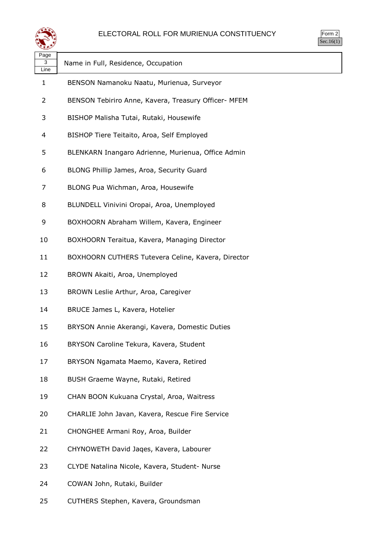

Form 2 Sec.16(1)

| Page<br>3<br>Line | Name in Full, Residence, Occupation                  |
|-------------------|------------------------------------------------------|
| 1                 | BENSON Namanoku Naatu, Murienua, Surveyor            |
| 2                 | BENSON Tebiriro Anne, Kavera, Treasury Officer- MFEM |
| 3                 | BISHOP Malisha Tutai, Rutaki, Housewife              |
| 4                 | BISHOP Tiere Teitaito, Aroa, Self Employed           |
| 5                 | BLENKARN Inangaro Adrienne, Murienua, Office Admin   |
| 6                 | BLONG Phillip James, Aroa, Security Guard            |
| 7                 | BLONG Pua Wichman, Aroa, Housewife                   |
| 8                 | BLUNDELL Vinivini Oropai, Aroa, Unemployed           |
| 9                 | BOXHOORN Abraham Willem, Kavera, Engineer            |
| 10                | BOXHOORN Teraitua, Kavera, Managing Director         |
| 11                | BOXHOORN CUTHERS Tutevera Celine, Kavera, Director   |
| 12                | BROWN Akaiti, Aroa, Unemployed                       |
| 13                | BROWN Leslie Arthur, Aroa, Caregiver                 |
| 14                | BRUCE James L, Kavera, Hotelier                      |
| 15                | BRYSON Annie Akerangi, Kavera, Domestic Duties       |
| 16                | BRYSON Caroline Tekura, Kavera, Student              |
| 17                | BRYSON Ngamata Maemo, Kavera, Retired                |
| 18                | BUSH Graeme Wayne, Rutaki, Retired                   |
| 19                | CHAN BOON Kukuana Crystal, Aroa, Waitress            |
| 20                | CHARLIE John Javan, Kavera, Rescue Fire Service      |
| 21                | CHONGHEE Armani Roy, Aroa, Builder                   |
| 22                | CHYNOWETH David Jaqes, Kavera, Labourer              |
| 23                | CLYDE Natalina Nicole, Kavera, Student- Nurse        |
| 24                | COWAN John, Rutaki, Builder                          |
| 25                | CUTHERS Stephen, Kavera, Groundsman                  |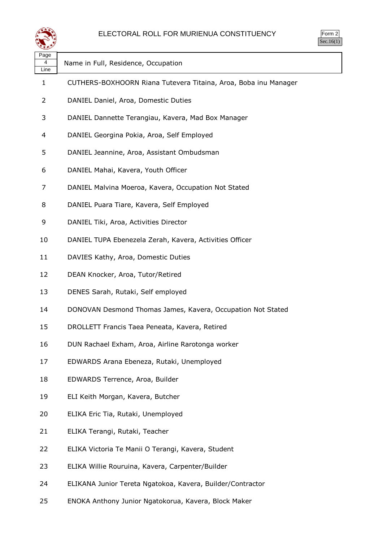

| سمعت              |                                                                 |  |
|-------------------|-----------------------------------------------------------------|--|
| Page<br>4<br>Line | Name in Full, Residence, Occupation                             |  |
| 1                 | CUTHERS-BOXHOORN Riana Tutevera Titaina, Aroa, Boba inu Manager |  |
| $\overline{2}$    | DANIEL Daniel, Aroa, Domestic Duties                            |  |
| 3                 | DANIEL Dannette Terangiau, Kavera, Mad Box Manager              |  |
| 4                 | DANIEL Georgina Pokia, Aroa, Self Employed                      |  |
| 5                 | DANIEL Jeannine, Aroa, Assistant Ombudsman                      |  |
| 6                 | DANIEL Mahai, Kavera, Youth Officer                             |  |
| 7                 | DANIEL Malvina Moeroa, Kavera, Occupation Not Stated            |  |
| 8                 | DANIEL Puara Tiare, Kavera, Self Employed                       |  |
| 9                 | DANIEL Tiki, Aroa, Activities Director                          |  |
| 10                | DANIEL TUPA Ebenezela Zerah, Kavera, Activities Officer         |  |
| 11                | DAVIES Kathy, Aroa, Domestic Duties                             |  |
| 12                | DEAN Knocker, Aroa, Tutor/Retired                               |  |
| 13                | DENES Sarah, Rutaki, Self employed                              |  |
| 14                | DONOVAN Desmond Thomas James, Kavera, Occupation Not Stated     |  |
| 15                | DROLLETT Francis Taea Peneata, Kavera, Retired                  |  |
| 16                | DUN Rachael Exham, Aroa, Airline Rarotonga worker               |  |
| 17                | EDWARDS Arana Ebeneza, Rutaki, Unemployed                       |  |
| 18                | EDWARDS Terrence, Aroa, Builder                                 |  |
| 19                | ELI Keith Morgan, Kavera, Butcher                               |  |
| 20                | ELIKA Eric Tia, Rutaki, Unemployed                              |  |
| 21                | ELIKA Terangi, Rutaki, Teacher                                  |  |
| 22                | ELIKA Victoria Te Manii O Terangi, Kavera, Student              |  |
| 23                | ELIKA Willie Rouruina, Kavera, Carpenter/Builder                |  |
| 24                | ELIKANA Junior Tereta Ngatokoa, Kavera, Builder/Contractor      |  |
|                   |                                                                 |  |

ENOKA Anthony Junior Ngatokorua, Kavera, Block Maker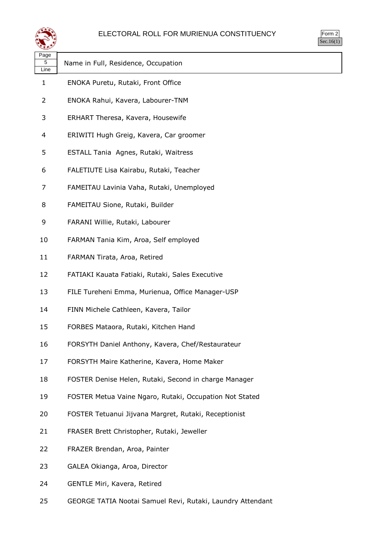

| orm<br>╭ |
|----------|
| ` 1      |

| ∼≃<br>Page<br>5<br>Line | Name in Full, Residence, Occupation                     |
|-------------------------|---------------------------------------------------------|
| $\mathbf{1}$            | ENOKA Puretu, Rutaki, Front Office                      |
| 2                       | ENOKA Rahui, Kavera, Labourer-TNM                       |
| 3                       | ERHART Theresa, Kavera, Housewife                       |
| 4                       | ERIWITI Hugh Greig, Kavera, Car groomer                 |
| 5                       | ESTALL Tania Agnes, Rutaki, Waitress                    |
| 6                       | FALETIUTE Lisa Kairabu, Rutaki, Teacher                 |
| 7                       | FAMEITAU Lavinia Vaha, Rutaki, Unemployed               |
| 8                       | FAMEITAU Sione, Rutaki, Builder                         |
| 9                       | FARANI Willie, Rutaki, Labourer                         |
| 10                      | FARMAN Tania Kim, Aroa, Self employed                   |
| 11                      | FARMAN Tirata, Aroa, Retired                            |
| 12                      | FATIAKI Kauata Fatiaki, Rutaki, Sales Executive         |
| 13                      | FILE Tureheni Emma, Murienua, Office Manager-USP        |
| 14                      | FINN Michele Cathleen, Kavera, Tailor                   |
| 15                      | FORBES Mataora, Rutaki, Kitchen Hand                    |
| 16                      | FORSYTH Daniel Anthony, Kavera, Chef/Restaurateur       |
| 17                      | FORSYTH Maire Katherine, Kavera, Home Maker             |
| 18                      | FOSTER Denise Helen, Rutaki, Second in charge Manager   |
| 19                      | FOSTER Metua Vaine Ngaro, Rutaki, Occupation Not Stated |
| 20                      | FOSTER Tetuanui Jijvana Margret, Rutaki, Receptionist   |
| 21                      | FRASER Brett Christopher, Rutaki, Jeweller              |
| 22                      | FRAZER Brendan, Aroa, Painter                           |
| 23                      | GALEA Okianga, Aroa, Director                           |
| 24                      | GENTLE Miri, Kavera, Retired                            |

GEORGE TATIA Nootai Samuel Revi, Rutaki, Laundry Attendant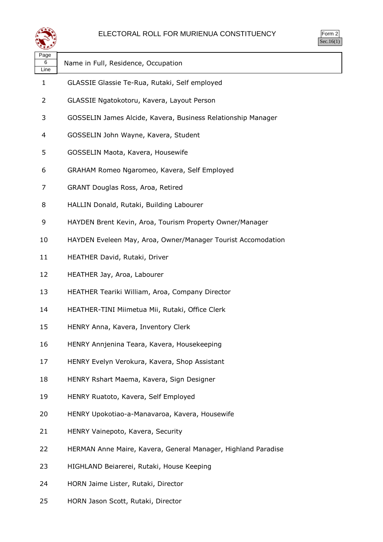

| ırm<br>u |  |
|----------|--|
|          |  |

| ⋖ॾॾ୭              |                                                               |
|-------------------|---------------------------------------------------------------|
| Page<br>6<br>Line | Name in Full, Residence, Occupation                           |
| 1                 | GLASSIE Glassie Te-Rua, Rutaki, Self employed                 |
| 2                 | GLASSIE Ngatokotoru, Kavera, Layout Person                    |
| 3                 | GOSSELIN James Alcide, Kavera, Business Relationship Manager  |
| 4                 | GOSSELIN John Wayne, Kavera, Student                          |
| 5                 | GOSSELIN Maota, Kavera, Housewife                             |
| 6                 | GRAHAM Romeo Ngaromeo, Kavera, Self Employed                  |
| 7                 | GRANT Douglas Ross, Aroa, Retired                             |
| 8                 | HALLIN Donald, Rutaki, Building Labourer                      |
| 9                 | HAYDEN Brent Kevin, Aroa, Tourism Property Owner/Manager      |
| 10                | HAYDEN Eveleen May, Aroa, Owner/Manager Tourist Accomodation  |
| 11                | HEATHER David, Rutaki, Driver                                 |
| 12                | HEATHER Jay, Aroa, Labourer                                   |
| 13                | HEATHER Teariki William, Aroa, Company Director               |
| 14                | HEATHER-TINI Miimetua Mii, Rutaki, Office Clerk               |
| 15                | HENRY Anna, Kavera, Inventory Clerk                           |
| 16                | HENRY Annjenina Teara, Kavera, Housekeeping                   |
| 17                | HENRY Evelyn Verokura, Kavera, Shop Assistant                 |
| 18                | HENRY Rshart Maema, Kavera, Sign Designer                     |
| 19                | HENRY Ruatoto, Kavera, Self Employed                          |
| 20                | HENRY Upokotiao-a-Manavaroa, Kavera, Housewife                |
| 21                | HENRY Vainepoto, Kavera, Security                             |
| 22                | HERMAN Anne Maire, Kavera, General Manager, Highland Paradise |
| 23                | HIGHLAND Beiarerei, Rutaki, House Keeping                     |
| 24                | HORN Jaime Lister, Rutaki, Director                           |
| 25                | HORN Jason Scott, Rutaki, Director                            |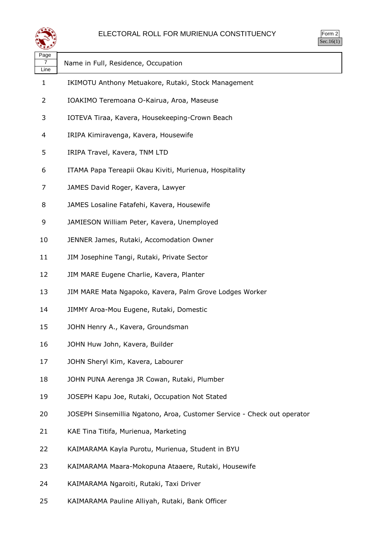

| orm<br>╯ |  |
|----------|--|
| - 1      |  |

| પ≖                |                                                                         |
|-------------------|-------------------------------------------------------------------------|
| Page<br>7<br>Line | Name in Full, Residence, Occupation                                     |
| 1                 | IKIMOTU Anthony Metuakore, Rutaki, Stock Management                     |
| 2                 | IOAKIMO Teremoana O-Kairua, Aroa, Maseuse                               |
| 3                 | IOTEVA Tiraa, Kavera, Housekeeping-Crown Beach                          |
| 4                 | IRIPA Kimiravenga, Kavera, Housewife                                    |
| 5                 | IRIPA Travel, Kavera, TNM LTD                                           |
| 6                 | ITAMA Papa Tereapii Okau Kiviti, Murienua, Hospitality                  |
| 7                 | JAMES David Roger, Kavera, Lawyer                                       |
| 8                 | JAMES Losaline Fatafehi, Kavera, Housewife                              |
| 9                 | JAMIESON William Peter, Kavera, Unemployed                              |
| 10                | JENNER James, Rutaki, Accomodation Owner                                |
| 11                | JIM Josephine Tangi, Rutaki, Private Sector                             |
| 12                | JIM MARE Eugene Charlie, Kavera, Planter                                |
| 13                | JIM MARE Mata Ngapoko, Kavera, Palm Grove Lodges Worker                 |
| 14                | JIMMY Aroa-Mou Eugene, Rutaki, Domestic                                 |
| 15                | JOHN Henry A., Kavera, Groundsman                                       |
| 16                | JOHN Huw John, Kavera, Builder                                          |
| 17                | JOHN Sheryl Kim, Kavera, Labourer                                       |
| 18                | JOHN PUNA Aerenga JR Cowan, Rutaki, Plumber                             |
| 19                | JOSEPH Kapu Joe, Rutaki, Occupation Not Stated                          |
| 20                | JOSEPH Sinsemillia Ngatono, Aroa, Customer Service - Check out operator |
| 21                | KAE Tina Titifa, Murienua, Marketing                                    |
| 22                | KAIMARAMA Kayla Purotu, Murienua, Student in BYU                        |
| 23                | KAIMARAMA Maara-Mokopuna Ataaere, Rutaki, Housewife                     |
| 24                | KAIMARAMA Ngaroiti, Rutaki, Taxi Driver                                 |

KAIMARAMA Pauline Alliyah, Rutaki, Bank Officer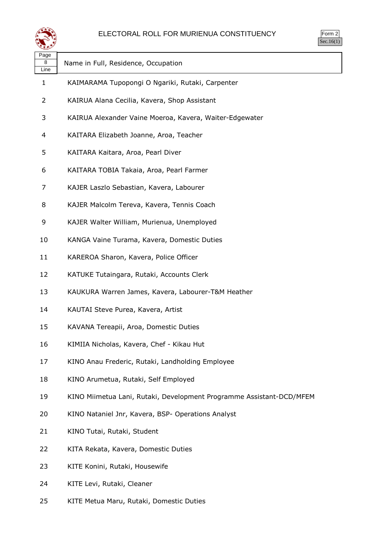

| orm |  |
|-----|--|
| v.  |  |

| Page      |                                                                      |
|-----------|----------------------------------------------------------------------|
| 8<br>Line | Name in Full, Residence, Occupation                                  |
| 1         | KAIMARAMA Tupopongi O Ngariki, Rutaki, Carpenter                     |
| 2         | KAIRUA Alana Cecilia, Kavera, Shop Assistant                         |
| 3         | KAIRUA Alexander Vaine Moeroa, Kavera, Waiter-Edgewater              |
| 4         | KAITARA Elizabeth Joanne, Aroa, Teacher                              |
| 5         | KAITARA Kaitara, Aroa, Pearl Diver                                   |
| 6         | KAITARA TOBIA Takaia, Aroa, Pearl Farmer                             |
| 7         | KAJER Laszlo Sebastian, Kavera, Labourer                             |
| 8         | KAJER Malcolm Tereva, Kavera, Tennis Coach                           |
| 9         | KAJER Walter William, Murienua, Unemployed                           |
| 10        | KANGA Vaine Turama, Kavera, Domestic Duties                          |
| 11        | KAREROA Sharon, Kavera, Police Officer                               |
| 12        | KATUKE Tutaingara, Rutaki, Accounts Clerk                            |
| 13        | KAUKURA Warren James, Kavera, Labourer-T&M Heather                   |
| 14        | KAUTAI Steve Purea, Kavera, Artist                                   |
| 15        | KAVANA Tereapii, Aroa, Domestic Duties                               |
| 16        | KIMIIA Nicholas, Kavera, Chef - Kikau Hut                            |
| 17        | KINO Anau Frederic, Rutaki, Landholding Employee                     |
| 18        | KINO Arumetua, Rutaki, Self Employed                                 |
| 19        | KINO Miimetua Lani, Rutaki, Development Programme Assistant-DCD/MFEM |
| 20        | KINO Nataniel Jnr, Kavera, BSP- Operations Analyst                   |
| 21        | KINO Tutai, Rutaki, Student                                          |
| 22        | KITA Rekata, Kavera, Domestic Duties                                 |
| 23        | KITE Konini, Rutaki, Housewife                                       |
| 24        | KITE Levi, Rutaki, Cleaner                                           |
|           |                                                                      |

KITE Metua Maru, Rutaki, Domestic Duties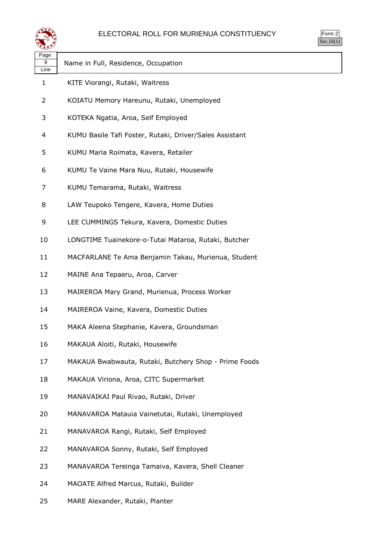

| orm |  |
|-----|--|
| v.  |  |

| ື້                |                                                         |
|-------------------|---------------------------------------------------------|
| Page<br>9<br>Line | Name in Full, Residence, Occupation                     |
| 1                 | KITE Viorangi, Rutaki, Waitress                         |
| $\overline{2}$    | KOIATU Memory Hareunu, Rutaki, Unemployed               |
| 3                 | KOTEKA Ngatia, Aroa, Self Employed                      |
| 4                 | KUMU Basile Tafi Foster, Rutaki, Driver/Sales Assistant |
| 5                 | KUMU Maria Roimata, Kavera, Retailer                    |
| 6                 | KUMU Te Vaine Mara Nuu, Rutaki, Housewife               |
| 7                 | KUMU Temarama, Rutaki, Waitress                         |
| 8                 | LAW Teupoko Tengere, Kavera, Home Duties                |
| 9                 | LEE CUMMINGS Tekura, Kavera, Domestic Duties            |
| 10                | LONGTIME Tuainekore-o-Tutai Mataroa, Rutaki, Butcher    |
| 11                | MACFARLANE Te Ama Benjamin Takau, Murienua, Student     |
| 12                | MAINE Ana Tepaeru, Aroa, Carver                         |
| 13                | MAIREROA Mary Grand, Murienua, Process Worker           |
| 14                | MAIREROA Vaine, Kavera, Domestic Duties                 |
| 15                | MAKA Aleena Stephanie, Kavera, Groundsman               |
| 16                | MAKAUA Aloiti, Rutaki, Housewife                        |
| 17                | MAKAUA Bwabwauta, Rutaki, Butchery Shop - Prime Foods   |
| 18                | MAKAUA Viriona, Aroa, CITC Supermarket                  |
| 19                | MANAVAIKAI Paul Rivao, Rutaki, Driver                   |
| 20                | MANAVAROA Matauia Vainetutai, Rutaki, Unemployed        |
| 21                | MANAVAROA Rangi, Rutaki, Self Employed                  |
| 22                | MANAVAROA Sonny, Rutaki, Self Employed                  |
| 23                | MANAVAROA Tereinga Tamaiva, Kavera, Shell Cleaner       |
| 24                | MAOATE Alfred Marcus, Rutaki, Builder                   |

MARE Alexander, Rutaki, Planter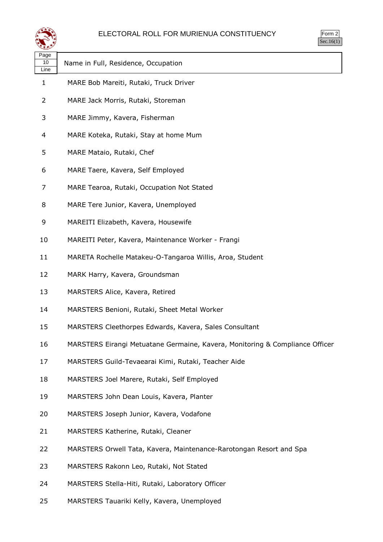

| Page<br>10<br>Line | Name in Full, Residence, Occupation                                          |
|--------------------|------------------------------------------------------------------------------|
| 1                  | MARE Bob Mareiti, Rutaki, Truck Driver                                       |
| 2                  | MARE Jack Morris, Rutaki, Storeman                                           |
| 3                  | MARE Jimmy, Kavera, Fisherman                                                |
| 4                  | MARE Koteka, Rutaki, Stay at home Mum                                        |
| 5                  | MARE Mataio, Rutaki, Chef                                                    |
| 6                  | MARE Taere, Kavera, Self Employed                                            |
| 7                  | MARE Tearoa, Rutaki, Occupation Not Stated                                   |
| 8                  | MARE Tere Junior, Kavera, Unemployed                                         |
| 9                  | MAREITI Elizabeth, Kavera, Housewife                                         |
| 10                 | MAREITI Peter, Kavera, Maintenance Worker - Frangi                           |
| 11                 | MARETA Rochelle Matakeu-O-Tangaroa Willis, Aroa, Student                     |
| 12                 | MARK Harry, Kavera, Groundsman                                               |
| 13                 | MARSTERS Alice, Kavera, Retired                                              |
| 14                 | MARSTERS Benioni, Rutaki, Sheet Metal Worker                                 |
| 15                 | MARSTERS Cleethorpes Edwards, Kavera, Sales Consultant                       |
| 16                 | MARSTERS Eirangi Metuatane Germaine, Kavera, Monitoring & Compliance Officer |
| 17                 | MARSTERS Guild-Tevaearai Kimi, Rutaki, Teacher Aide                          |
| 18                 | MARSTERS Joel Marere, Rutaki, Self Employed                                  |
| 19                 | MARSTERS John Dean Louis, Kavera, Planter                                    |
| 20                 | MARSTERS Joseph Junior, Kavera, Vodafone                                     |
| 21                 | MARSTERS Katherine, Rutaki, Cleaner                                          |
| 22                 | MARSTERS Orwell Tata, Kavera, Maintenance-Rarotongan Resort and Spa          |
| 23                 | MARSTERS Rakonn Leo, Rutaki, Not Stated                                      |
| 24                 | MARSTERS Stella-Hiti, Rutaki, Laboratory Officer                             |
|                    |                                                                              |

MARSTERS Tauariki Kelly, Kavera, Unemployed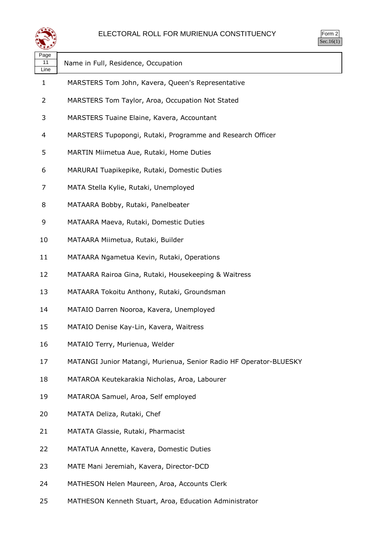

| ırm<br>г |  |
|----------|--|
|          |  |

| Name in Full, Residence, Occupation                                |
|--------------------------------------------------------------------|
| MARSTERS Tom John, Kavera, Queen's Representative                  |
| MARSTERS Tom Taylor, Aroa, Occupation Not Stated                   |
| MARSTERS Tuaine Elaine, Kavera, Accountant                         |
| MARSTERS Tupopongi, Rutaki, Programme and Research Officer         |
| MARTIN Miimetua Aue, Rutaki, Home Duties                           |
| MARURAI Tuapikepike, Rutaki, Domestic Duties                       |
| MATA Stella Kylie, Rutaki, Unemployed                              |
| MATAARA Bobby, Rutaki, Panelbeater                                 |
| MATAARA Maeva, Rutaki, Domestic Duties                             |
| MATAARA Miimetua, Rutaki, Builder                                  |
| MATAARA Ngametua Kevin, Rutaki, Operations                         |
| MATAARA Rairoa Gina, Rutaki, Housekeeping & Waitress               |
| MATAARA Tokoitu Anthony, Rutaki, Groundsman                        |
| MATAIO Darren Nooroa, Kavera, Unemployed                           |
| MATAIO Denise Kay-Lin, Kavera, Waitress                            |
| MATAIO Terry, Murienua, Welder                                     |
| MATANGI Junior Matangi, Murienua, Senior Radio HF Operator-BLUESKY |
| MATAROA Keutekarakia Nicholas, Aroa, Labourer                      |
| MATAROA Samuel, Aroa, Self employed                                |
| MATATA Deliza, Rutaki, Chef                                        |
| MATATA Glassie, Rutaki, Pharmacist                                 |
| MATATUA Annette, Kavera, Domestic Duties                           |
| MATE Mani Jeremiah, Kavera, Director-DCD                           |
| MATHESON Helen Maureen, Aroa, Accounts Clerk                       |
|                                                                    |

MATHESON Kenneth Stuart, Aroa, Education Administrator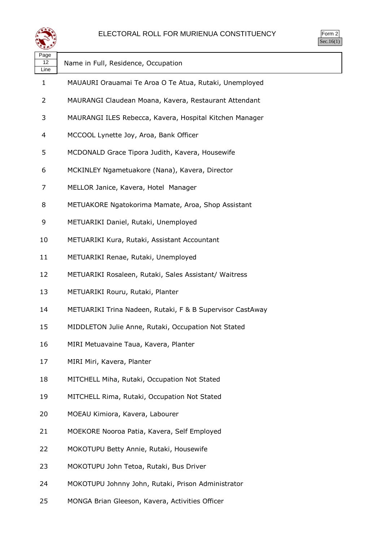

Form 2 Sec.16(1)

| Page<br>12<br>Line | Name in Full, Residence, Occupation                       |
|--------------------|-----------------------------------------------------------|
| 1                  | MAUAURI Orauamai Te Aroa O Te Atua, Rutaki, Unemployed    |
| 2                  | MAURANGI Claudean Moana, Kavera, Restaurant Attendant     |
| 3                  | MAURANGI ILES Rebecca, Kavera, Hospital Kitchen Manager   |
| 4                  | MCCOOL Lynette Joy, Aroa, Bank Officer                    |
| 5                  | MCDONALD Grace Tipora Judith, Kavera, Housewife           |
| 6                  | MCKINLEY Ngametuakore (Nana), Kavera, Director            |
| 7                  | MELLOR Janice, Kavera, Hotel Manager                      |
| 8                  | METUAKORE Ngatokorima Mamate, Aroa, Shop Assistant        |
| 9                  | METUARIKI Daniel, Rutaki, Unemployed                      |
| 10                 | METUARIKI Kura, Rutaki, Assistant Accountant              |
| 11                 | METUARIKI Renae, Rutaki, Unemployed                       |
| 12                 | METUARIKI Rosaleen, Rutaki, Sales Assistant/ Waitress     |
| 13                 | METUARIKI Rouru, Rutaki, Planter                          |
| 14                 | METUARIKI Trina Nadeen, Rutaki, F & B Supervisor CastAway |
| 15                 | MIDDLETON Julie Anne, Rutaki, Occupation Not Stated       |
| 16                 | MIRI Metuavaine Taua, Kavera, Planter                     |
| 17                 | MIRI Miri, Kavera, Planter                                |
| 18                 | MITCHELL Miha, Rutaki, Occupation Not Stated              |
| 19                 | MITCHELL Rima, Rutaki, Occupation Not Stated              |
| 20                 | MOEAU Kimiora, Kavera, Labourer                           |
| 21                 | MOEKORE Nooroa Patia, Kavera, Self Employed               |
| 22                 | MOKOTUPU Betty Annie, Rutaki, Housewife                   |
| 23                 | MOKOTUPU John Tetoa, Rutaki, Bus Driver                   |
| 24                 | MOKOTUPU Johnny John, Rutaki, Prison Administrator        |
|                    |                                                           |

MONGA Brian Gleeson, Kavera, Activities Officer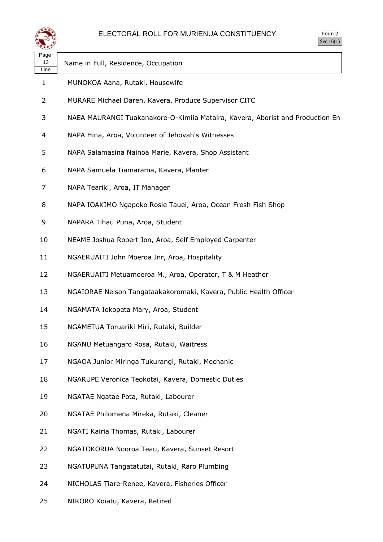

| Page<br>13<br>Line | Name in Full, Residence, Occupation                                           |
|--------------------|-------------------------------------------------------------------------------|
| 1                  | MUNOKOA Aana, Rutaki, Housewife                                               |
| $\overline{2}$     | MURARE Michael Daren, Kavera, Produce Supervisor CITC                         |
| 3                  | NAEA MAURANGI Tuakanakore-O-Kimiia Mataira, Kavera, Aborist and Production En |
| 4                  | NAPA Hina, Aroa, Volunteer of Jehovah's Witnesses                             |
| 5                  | NAPA Salamasina Nainoa Marie, Kavera, Shop Assistant                          |
| 6                  | NAPA Samuela Tiamarama, Kavera, Planter                                       |
| 7                  | NAPA Teariki, Aroa, IT Manager                                                |
| 8                  | NAPA IOAKIMO Ngapoko Rosie Tauei, Aroa, Ocean Fresh Fish Shop                 |
| 9                  | NAPARA Tihau Puna, Aroa, Student                                              |
| 10                 | NEAME Joshua Robert Jon, Aroa, Self Employed Carpenter                        |
| 11                 | NGAERUAITI John Moeroa Jnr, Aroa, Hospitality                                 |
| 12                 | NGAERUAITI Metuamoeroa M., Aroa, Operator, T & M Heather                      |
| 13                 | NGAIORAE Nelson Tangataakakoromaki, Kavera, Public Health Officer             |
| 14                 | NGAMATA Iokopeta Mary, Aroa, Student                                          |
| 15                 | NGAMETUA Toruariki Miri, Rutaki, Builder                                      |
| 16                 | NGANU Metuangaro Rosa, Rutaki, Waitress                                       |
| 17                 | NGAOA Junior Miringa Tukurangi, Rutaki, Mechanic                              |
| 18                 | NGARUPE Veronica Teokotai, Kavera, Domestic Duties                            |
| 19                 | NGATAE Ngatae Pota, Rutaki, Labourer                                          |
| 20                 | NGATAE Philomena Mireka, Rutaki, Cleaner                                      |
| 21                 | NGATI Kairia Thomas, Rutaki, Labourer                                         |
| 22                 | NGATOKORUA Nooroa Teau, Kavera, Sunset Resort                                 |
| 23                 | NGATUPUNA Tangatatutai, Rutaki, Raro Plumbing                                 |
| 24                 | NICHOLAS Tiare-Renee, Kavera, Fisheries Officer                               |

NIKORO Koiatu, Kavera, Retired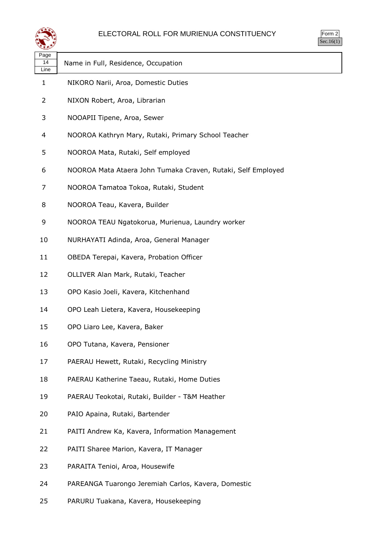

| Page<br>14<br>Line | Name in Full, Residence, Occupation                          |
|--------------------|--------------------------------------------------------------|
| 1                  | NIKORO Narii, Aroa, Domestic Duties                          |
| 2                  | NIXON Robert, Aroa, Librarian                                |
| 3                  | NOOAPII Tipene, Aroa, Sewer                                  |
| 4                  | NOOROA Kathryn Mary, Rutaki, Primary School Teacher          |
| 5                  | NOOROA Mata, Rutaki, Self employed                           |
| 6                  | NOOROA Mata Ataera John Tumaka Craven, Rutaki, Self Employed |
| 7                  | NOOROA Tamatoa Tokoa, Rutaki, Student                        |
| 8                  | NOOROA Teau, Kavera, Builder                                 |
| 9                  | NOOROA TEAU Ngatokorua, Murienua, Laundry worker             |
| 10                 | NURHAYATI Adinda, Aroa, General Manager                      |
| 11                 | OBEDA Terepai, Kavera, Probation Officer                     |
| 12                 | OLLIVER Alan Mark, Rutaki, Teacher                           |
| 13                 | OPO Kasio Joeli, Kavera, Kitchenhand                         |
| 14                 | OPO Leah Lietera, Kavera, Housekeeping                       |
| 15                 | OPO Liaro Lee, Kavera, Baker                                 |
| 16                 | OPO Tutana, Kavera, Pensioner                                |
| 17                 | PAERAU Hewett, Rutaki, Recycling Ministry                    |
| 18                 | PAERAU Katherine Taeau, Rutaki, Home Duties                  |
| 19                 | PAERAU Teokotai, Rutaki, Builder - T&M Heather               |
| 20                 | PAIO Apaina, Rutaki, Bartender                               |
| 21                 | PAITI Andrew Ka, Kavera, Information Management              |
| 22                 | PAITI Sharee Marion, Kavera, IT Manager                      |
| 23                 | PARAITA Tenioi, Aroa, Housewife                              |
|                    |                                                              |

- PAREANGA Tuarongo Jeremiah Carlos, Kavera, Domestic
- PARURU Tuakana, Kavera, Housekeeping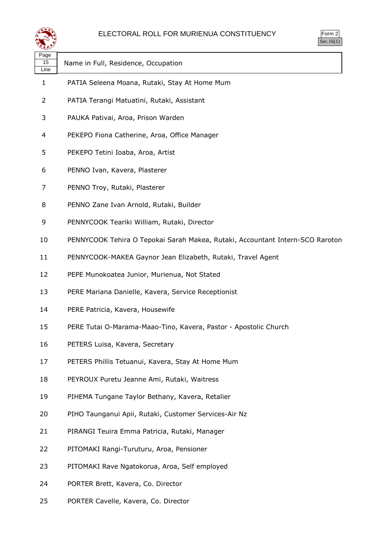

| orm |  |
|-----|--|
| v.  |  |

| لتستعيثا           | DCC.10(1)                                                                     |
|--------------------|-------------------------------------------------------------------------------|
| Page<br>15<br>Line | Name in Full, Residence, Occupation                                           |
| $\mathbf{1}$       | PATIA Seleena Moana, Rutaki, Stay At Home Mum                                 |
| 2                  | PATIA Terangi Matuatini, Rutaki, Assistant                                    |
| 3                  | PAUKA Pativai, Aroa, Prison Warden                                            |
| 4                  | PEKEPO Fiona Catherine, Aroa, Office Manager                                  |
| 5                  | PEKEPO Tetini Ioaba, Aroa, Artist                                             |
| 6                  | PENNO Ivan, Kavera, Plasterer                                                 |
| 7                  | PENNO Troy, Rutaki, Plasterer                                                 |
| 8                  | PENNO Zane Ivan Arnold, Rutaki, Builder                                       |
| 9                  | PENNYCOOK Teariki William, Rutaki, Director                                   |
| 10                 | PENNYCOOK Tehira O Tepokai Sarah Makea, Rutaki, Accountant Intern-SCO Raroton |
| 11                 | PENNYCOOK-MAKEA Gaynor Jean Elizabeth, Rutaki, Travel Agent                   |
| 12                 | PEPE Munokoatea Junior, Murienua, Not Stated                                  |
| 13                 | PERE Mariana Danielle, Kavera, Service Receptionist                           |
| 14                 | PERE Patricia, Kavera, Housewife                                              |
| 15                 | PERE Tutai O-Marama-Maao-Tino, Kavera, Pastor - Apostolic Church              |
| 16                 | PETERS Luisa, Kavera, Secretary                                               |
| 17                 | PETERS Phillis Tetuanui, Kavera, Stay At Home Mum                             |
| 18                 | PEYROUX Puretu Jeanne Ami, Rutaki, Waitress                                   |
| 19                 | PIHEMA Tungane Taylor Bethany, Kavera, Retalier                               |
| 20                 | PIHO Taunganui Apii, Rutaki, Customer Services-Air Nz                         |
| 21                 | PIRANGI Teuira Emma Patricia, Rutaki, Manager                                 |
| 22                 | PITOMAKI Rangi-Turuturu, Aroa, Pensioner                                      |
| 23                 | PITOMAKI Rave Ngatokorua, Aroa, Self employed                                 |
| 24                 | PORTER Brett, Kavera, Co. Director                                            |

PORTER Cavelle, Kavera, Co. Director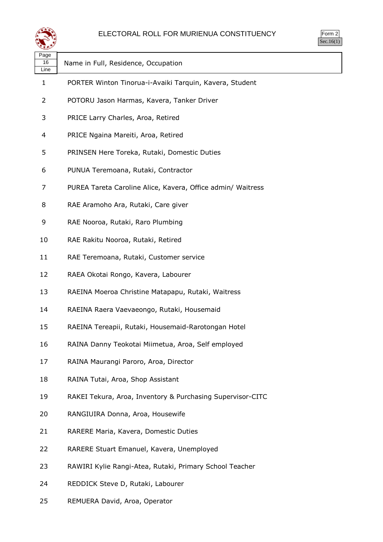

Form 2  $\overline{\text{Sec.16}(1)}$ 

| Page<br>16<br>Line | Name in Full, Residence, Occupation                         |
|--------------------|-------------------------------------------------------------|
| 1                  | PORTER Winton Tinorua-i-Avaiki Tarquin, Kavera, Student     |
| 2                  | POTORU Jason Harmas, Kavera, Tanker Driver                  |
| 3                  | PRICE Larry Charles, Aroa, Retired                          |
| 4                  | PRICE Ngaina Mareiti, Aroa, Retired                         |
| 5                  | PRINSEN Here Toreka, Rutaki, Domestic Duties                |
| 6                  | PUNUA Teremoana, Rutaki, Contractor                         |
| 7                  | PUREA Tareta Caroline Alice, Kavera, Office admin/ Waitress |
| 8                  | RAE Aramoho Ara, Rutaki, Care giver                         |
| 9                  | RAE Nooroa, Rutaki, Raro Plumbing                           |
| 10                 | RAE Rakitu Nooroa, Rutaki, Retired                          |
| 11                 | RAE Teremoana, Rutaki, Customer service                     |
| 12                 | RAEA Okotai Rongo, Kavera, Labourer                         |
| 13                 | RAEINA Moeroa Christine Matapapu, Rutaki, Waitress          |
| 14                 | RAEINA Raera Vaevaeongo, Rutaki, Housemaid                  |
| 15                 | RAEINA Tereapii, Rutaki, Housemaid-Rarotongan Hotel         |
| 16                 | RAINA Danny Teokotai Miimetua, Aroa, Self employed          |
| 17                 | RAINA Maurangi Paroro, Aroa, Director                       |
| 18                 | RAINA Tutai, Aroa, Shop Assistant                           |
| 19                 | RAKEI Tekura, Aroa, Inventory & Purchasing Supervisor-CITC  |
| 20                 | RANGIUIRA Donna, Aroa, Housewife                            |
| 21                 | RARERE Maria, Kavera, Domestic Duties                       |
| 22                 | RARERE Stuart Emanuel, Kavera, Unemployed                   |
| 23                 | RAWIRI Kylie Rangi-Atea, Rutaki, Primary School Teacher     |
| 24                 | REDDICK Steve D, Rutaki, Labourer                           |

REMUERA David, Aroa, Operator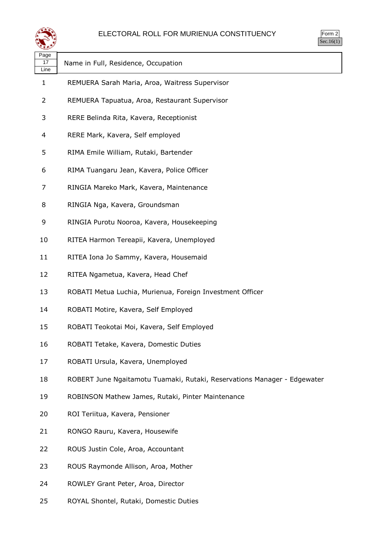

| orm<br>╭ |
|----------|
| ` 1      |

| Page<br>17<br>Line | Name in Full, Residence, Occupation                                      |
|--------------------|--------------------------------------------------------------------------|
| $\mathbf{1}$       | REMUERA Sarah Maria, Aroa, Waitress Supervisor                           |
| $\overline{2}$     | REMUERA Tapuatua, Aroa, Restaurant Supervisor                            |
| 3                  | RERE Belinda Rita, Kavera, Receptionist                                  |
| 4                  | RERE Mark, Kavera, Self employed                                         |
| 5                  | RIMA Emile William, Rutaki, Bartender                                    |
| 6                  | RIMA Tuangaru Jean, Kavera, Police Officer                               |
| 7                  | RINGIA Mareko Mark, Kavera, Maintenance                                  |
| 8                  | RINGIA Nga, Kavera, Groundsman                                           |
| 9                  | RINGIA Purotu Nooroa, Kavera, Housekeeping                               |
| 10                 | RITEA Harmon Tereapii, Kavera, Unemployed                                |
| 11                 | RITEA Iona Jo Sammy, Kavera, Housemaid                                   |
| 12                 | RITEA Ngametua, Kavera, Head Chef                                        |
| 13                 | ROBATI Metua Luchia, Murienua, Foreign Investment Officer                |
| 14                 | ROBATI Motire, Kavera, Self Employed                                     |
| 15                 | ROBATI Teokotai Moi, Kavera, Self Employed                               |
| 16                 | ROBATI Tetake, Kavera, Domestic Duties                                   |
| 17                 | ROBATI Ursula, Kavera, Unemployed                                        |
| 18                 | ROBERT June Ngaitamotu Tuamaki, Rutaki, Reservations Manager - Edgewater |
| 19                 | ROBINSON Mathew James, Rutaki, Pinter Maintenance                        |
| 20                 | ROI Teriitua, Kavera, Pensioner                                          |
| 21                 | RONGO Rauru, Kavera, Housewife                                           |
| 22                 | ROUS Justin Cole, Aroa, Accountant                                       |
| 23                 | ROUS Raymonde Allison, Aroa, Mother                                      |
| 24                 | ROWLEY Grant Peter, Aroa, Director                                       |
| 25                 | ROYAL Shontel, Rutaki, Domestic Duties                                   |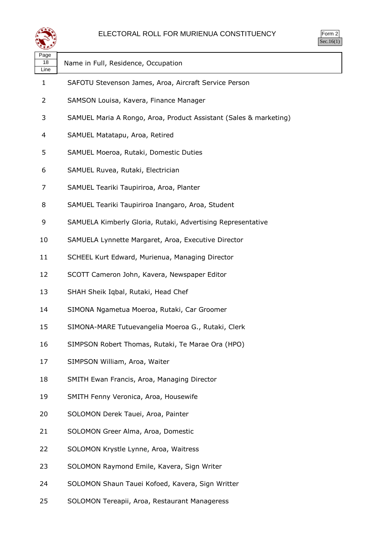

Form 2 Sec.16(1)

| Page<br>18<br>Line | Name in Full, Residence, Occupation                               |
|--------------------|-------------------------------------------------------------------|
| 1                  | SAFOTU Stevenson James, Aroa, Aircraft Service Person             |
| 2                  | SAMSON Louisa, Kavera, Finance Manager                            |
| 3                  | SAMUEL Maria A Rongo, Aroa, Product Assistant (Sales & marketing) |
| 4                  | SAMUEL Matatapu, Aroa, Retired                                    |
| 5                  | SAMUEL Moeroa, Rutaki, Domestic Duties                            |
| 6                  | SAMUEL Ruvea, Rutaki, Electrician                                 |
| 7                  | SAMUEL Teariki Taupiriroa, Aroa, Planter                          |
| 8                  | SAMUEL Teariki Taupiriroa Inangaro, Aroa, Student                 |
| 9                  | SAMUELA Kimberly Gloria, Rutaki, Advertising Representative       |
| 10                 | SAMUELA Lynnette Margaret, Aroa, Executive Director               |
| 11                 | SCHEEL Kurt Edward, Murienua, Managing Director                   |
| 12                 | SCOTT Cameron John, Kavera, Newspaper Editor                      |
| 13                 | SHAH Sheik Iqbal, Rutaki, Head Chef                               |
| 14                 | SIMONA Ngametua Moeroa, Rutaki, Car Groomer                       |
| 15                 | SIMONA-MARE Tutuevangelia Moeroa G., Rutaki, Clerk                |
| 16                 | SIMPSON Robert Thomas, Rutaki, Te Marae Ora (HPO)                 |
| 17                 | SIMPSON William, Aroa, Waiter                                     |
| 18                 | SMITH Ewan Francis, Aroa, Managing Director                       |
| 19                 | SMITH Fenny Veronica, Aroa, Housewife                             |
| 20                 | SOLOMON Derek Tauei, Aroa, Painter                                |
| 21                 | SOLOMON Greer Alma, Aroa, Domestic                                |
| 22                 | SOLOMON Krystle Lynne, Aroa, Waitress                             |
| 23                 | SOLOMON Raymond Emile, Kavera, Sign Writer                        |
| 24                 | SOLOMON Shaun Tauei Kofoed, Kavera, Sign Writter                  |
| 25                 | SOLOMON Tereapii, Aroa, Restaurant Manageress                     |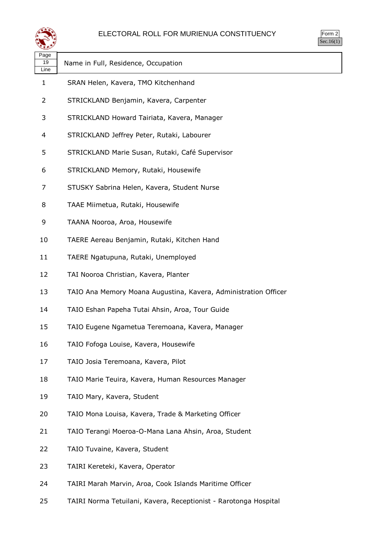

| $\sum_{i=1}^{n}$<br>↘ |  |
|-----------------------|--|
| $\cdot$ 1             |  |

| ∼                  |                                                                 |
|--------------------|-----------------------------------------------------------------|
| Page<br>19<br>Line | Name in Full, Residence, Occupation                             |
| 1                  | SRAN Helen, Kavera, TMO Kitchenhand                             |
| 2                  | STRICKLAND Benjamin, Kavera, Carpenter                          |
| 3                  | STRICKLAND Howard Tairiata, Kavera, Manager                     |
| 4                  | STRICKLAND Jeffrey Peter, Rutaki, Labourer                      |
| 5                  | STRICKLAND Marie Susan, Rutaki, Café Supervisor                 |
| 6                  | STRICKLAND Memory, Rutaki, Housewife                            |
| 7                  | STUSKY Sabrina Helen, Kavera, Student Nurse                     |
| 8                  | TAAE Miimetua, Rutaki, Housewife                                |
| 9                  | TAANA Nooroa, Aroa, Housewife                                   |
| 10                 | TAERE Aereau Benjamin, Rutaki, Kitchen Hand                     |
| 11                 | TAERE Ngatupuna, Rutaki, Unemployed                             |
| 12                 | TAI Nooroa Christian, Kavera, Planter                           |
| 13                 | TAIO Ana Memory Moana Augustina, Kavera, Administration Officer |
| 14                 | TAIO Eshan Papeha Tutai Ahsin, Aroa, Tour Guide                 |
| 15                 | TAIO Eugene Ngametua Teremoana, Kavera, Manager                 |
| 16                 | TAIO Fofoga Louise, Kavera, Housewife                           |
| 17                 | TAIO Josia Teremoana, Kavera, Pilot                             |
| 18                 | TAIO Marie Teuira, Kavera, Human Resources Manager              |
| 19                 | TAIO Mary, Kavera, Student                                      |
| 20                 | TAIO Mona Louisa, Kavera, Trade & Marketing Officer             |
| 21                 | TAIO Terangi Moeroa-O-Mana Lana Ahsin, Aroa, Student            |
| 22                 | TAIO Tuvaine, Kavera, Student                                   |
| 23                 | TAIRI Kereteki, Kavera, Operator                                |
| 24                 | TAIRI Marah Marvin, Aroa, Cook Islands Maritime Officer         |

TAIRI Norma Tetuilani, Kavera, Receptionist - Rarotonga Hospital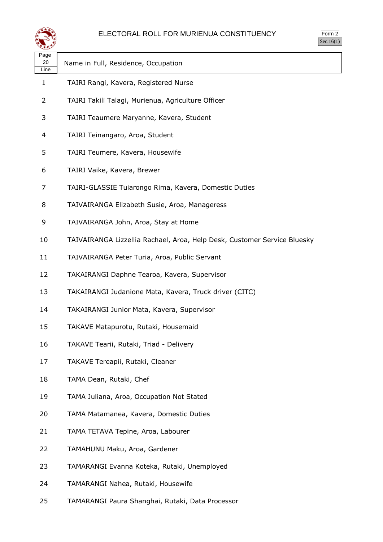

| ٬rm<br>×, |
|-----------|
|           |

| ∼<br>Page<br>20<br>Line | Name in Full, Residence, Occupation                                      |
|-------------------------|--------------------------------------------------------------------------|
| $\mathbf{1}$            | TAIRI Rangi, Kavera, Registered Nurse                                    |
| 2                       | TAIRI Takili Talagi, Murienua, Agriculture Officer                       |
| 3                       | TAIRI Teaumere Maryanne, Kavera, Student                                 |
| 4                       | TAIRI Teinangaro, Aroa, Student                                          |
| 5                       | TAIRI Teumere, Kavera, Housewife                                         |
| 6                       | TAIRI Vaike, Kavera, Brewer                                              |
| 7                       | TAIRI-GLASSIE Tuiarongo Rima, Kavera, Domestic Duties                    |
| 8                       | TAIVAIRANGA Elizabeth Susie, Aroa, Manageress                            |
| 9                       | TAIVAIRANGA John, Aroa, Stay at Home                                     |
| 10                      | TAIVAIRANGA Lizzellia Rachael, Aroa, Help Desk, Customer Service Bluesky |
| 11                      | TAIVAIRANGA Peter Turia, Aroa, Public Servant                            |
| 12                      | TAKAIRANGI Daphne Tearoa, Kavera, Supervisor                             |
| 13                      | TAKAIRANGI Judanione Mata, Kavera, Truck driver (CITC)                   |
| 14                      | TAKAIRANGI Junior Mata, Kavera, Supervisor                               |
| 15                      | TAKAVE Matapurotu, Rutaki, Housemaid                                     |
| 16                      | TAKAVE Tearii, Rutaki, Triad - Delivery                                  |
| 17                      | TAKAVE Tereapii, Rutaki, Cleaner                                         |
| 18                      | TAMA Dean, Rutaki, Chef                                                  |
| 19                      | TAMA Juliana, Aroa, Occupation Not Stated                                |
| 20                      | TAMA Matamanea, Kavera, Domestic Duties                                  |
| 21                      | TAMA TETAVA Tepine, Aroa, Labourer                                       |
| 22                      | TAMAHUNU Maku, Aroa, Gardener                                            |
| 23                      | TAMARANGI Evanna Koteka, Rutaki, Unemployed                              |
| 24                      | TAMARANGI Nahea, Rutaki, Housewife                                       |

TAMARANGI Paura Shanghai, Rutaki, Data Processor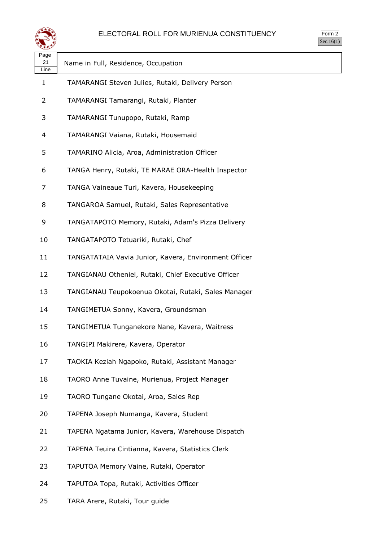

| $\sum_{i=1}^{n}$<br>↘ |  |
|-----------------------|--|
| $\cdot$ 1             |  |

| ∽                  |                                                       |
|--------------------|-------------------------------------------------------|
| Page<br>21<br>Line | Name in Full, Residence, Occupation                   |
| $\mathbf 1$        | TAMARANGI Steven Julies, Rutaki, Delivery Person      |
| 2                  | TAMARANGI Tamarangi, Rutaki, Planter                  |
| 3                  | TAMARANGI Tunupopo, Rutaki, Ramp                      |
| 4                  | TAMARANGI Vaiana, Rutaki, Housemaid                   |
| 5                  | TAMARINO Alicia, Aroa, Administration Officer         |
| 6                  | TANGA Henry, Rutaki, TE MARAE ORA-Health Inspector    |
| 7                  | TANGA Vaineaue Turi, Kavera, Housekeeping             |
| 8                  | TANGAROA Samuel, Rutaki, Sales Representative         |
| 9                  | TANGATAPOTO Memory, Rutaki, Adam's Pizza Delivery     |
| 10                 | TANGATAPOTO Tetuariki, Rutaki, Chef                   |
| 11                 | TANGATATAIA Vavia Junior, Kavera, Environment Officer |
| 12                 | TANGIANAU Otheniel, Rutaki, Chief Executive Officer   |
| 13                 | TANGIANAU Teupokoenua Okotai, Rutaki, Sales Manager   |
| 14                 | TANGIMETUA Sonny, Kavera, Groundsman                  |
| 15                 | TANGIMETUA Tunganekore Nane, Kavera, Waitress         |
| 16                 | TANGIPI Makirere, Kavera, Operator                    |
| 17                 | TAOKIA Keziah Ngapoko, Rutaki, Assistant Manager      |
| 18                 | TAORO Anne Tuvaine, Murienua, Project Manager         |
| 19                 | TAORO Tungane Okotai, Aroa, Sales Rep                 |
| 20                 | TAPENA Joseph Numanga, Kavera, Student                |
| 21                 | TAPENA Ngatama Junior, Kavera, Warehouse Dispatch     |
| 22                 | TAPENA Teuira Cintianna, Kavera, Statistics Clerk     |
| 23                 | TAPUTOA Memory Vaine, Rutaki, Operator                |
| 24                 | TAPUTOA Topa, Rutaki, Activities Officer              |

TARA Arere, Rutaki, Tour guide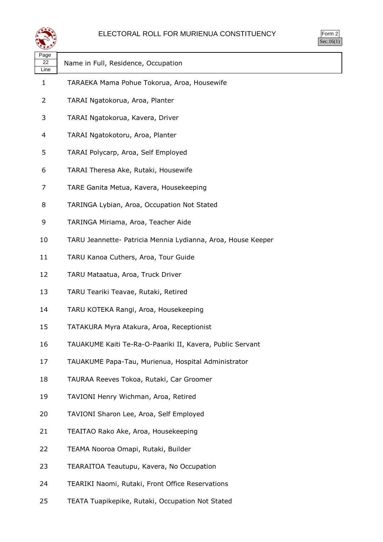

| حصو                |                                                              |
|--------------------|--------------------------------------------------------------|
| Page<br>22<br>Line | Name in Full, Residence, Occupation                          |
| 1                  | TARAEKA Mama Pohue Tokorua, Aroa, Housewife                  |
| $\overline{2}$     | TARAI Ngatokorua, Aroa, Planter                              |
| 3                  | TARAI Ngatokorua, Kavera, Driver                             |
| 4                  | TARAI Ngatokotoru, Aroa, Planter                             |
| 5                  | TARAI Polycarp, Aroa, Self Employed                          |
| 6                  | TARAI Theresa Ake, Rutaki, Housewife                         |
| 7                  | TARE Ganita Metua, Kavera, Housekeeping                      |
| 8                  | TARINGA Lybian, Aroa, Occupation Not Stated                  |
| 9                  | TARINGA Miriama, Aroa, Teacher Aide                          |
| 10                 | TARU Jeannette- Patricia Mennia Lydianna, Aroa, House Keeper |
| 11                 | TARU Kanoa Cuthers, Aroa, Tour Guide                         |
| 12                 | TARU Mataatua, Aroa, Truck Driver                            |
| 13                 | TARU Teariki Teavae, Rutaki, Retired                         |
| 14                 | TARU KOTEKA Rangi, Aroa, Housekeeping                        |
| 15                 | TATAKURA Myra Atakura, Aroa, Receptionist                    |
| 16                 | TAUAKUME Kaiti Te-Ra-O-Paariki II, Kavera, Public Servant    |
| 17                 | TAUAKUME Papa-Tau, Murienua, Hospital Administrator          |
| 18                 | TAURAA Reeves Tokoa, Rutaki, Car Groomer                     |
| 19                 | TAVIONI Henry Wichman, Aroa, Retired                         |
| 20                 | TAVIONI Sharon Lee, Aroa, Self Employed                      |
| 21                 | TEAITAO Rako Ake, Aroa, Housekeeping                         |
| 22                 | TEAMA Nooroa Omapi, Rutaki, Builder                          |
| 23                 | TEARAITOA Teautupu, Kavera, No Occupation                    |
| 24                 | TEARIKI Naomi, Rutaki, Front Office Reservations             |
| 25                 | TEATA Tuapikepike, Rutaki, Occupation Not Stated             |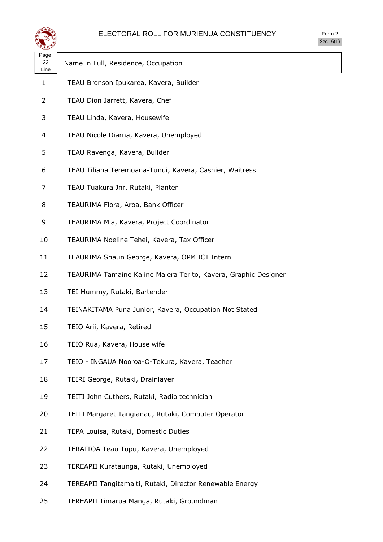

| orm<br>╭ |
|----------|
| ` 1      |

| فتعقب      |                                                                 | 22.1 |
|------------|-----------------------------------------------------------------|------|
| Page<br>23 |                                                                 |      |
| Line       | Name in Full, Residence, Occupation                             |      |
| 1          | TEAU Bronson Ipukarea, Kavera, Builder                          |      |
| 2          | TEAU Dion Jarrett, Kavera, Chef                                 |      |
| 3          | TEAU Linda, Kavera, Housewife                                   |      |
| 4          | TEAU Nicole Diarna, Kavera, Unemployed                          |      |
| 5          | TEAU Ravenga, Kavera, Builder                                   |      |
| 6          | TEAU Tiliana Teremoana-Tunui, Kavera, Cashier, Waitress         |      |
| 7          | TEAU Tuakura Jnr, Rutaki, Planter                               |      |
| 8          | TEAURIMA Flora, Aroa, Bank Officer                              |      |
| 9          | TEAURIMA Mia, Kavera, Project Coordinator                       |      |
| 10         | TEAURIMA Noeline Tehei, Kavera, Tax Officer                     |      |
| 11         | TEAURIMA Shaun George, Kavera, OPM ICT Intern                   |      |
| 12         | TEAURIMA Tamaine Kaline Malera Terito, Kavera, Graphic Designer |      |
| 13         | TEI Mummy, Rutaki, Bartender                                    |      |
| 14         | TEINAKITAMA Puna Junior, Kavera, Occupation Not Stated          |      |
| 15         | TEIO Arii, Kavera, Retired                                      |      |
| 16         | TEIO Rua, Kavera, House wife                                    |      |
| 17         | TEIO - INGAUA Nooroa-O-Tekura, Kavera, Teacher                  |      |
| 18         | TEIRI George, Rutaki, Drainlayer                                |      |
| 19         | TEITI John Cuthers, Rutaki, Radio technician                    |      |
| 20         | TEITI Margaret Tangianau, Rutaki, Computer Operator             |      |
| 21         | TEPA Louisa, Rutaki, Domestic Duties                            |      |
| 22         | TERAITOA Teau Tupu, Kavera, Unemployed                          |      |
| 23         | TEREAPII Kurataunga, Rutaki, Unemployed                         |      |
| 24         | TEREAPII Tangitamaiti, Rutaki, Director Renewable Energy        |      |

TEREAPII Timarua Manga, Rutaki, Groundman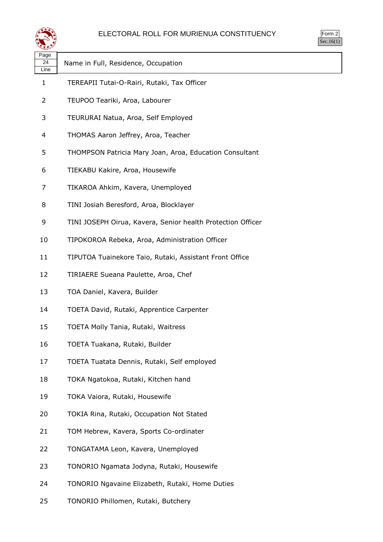

| orm<br>╭ |
|----------|
| ` 1      |

| Page<br>24<br>Line | Name in Full, Residence, Occupation                         |
|--------------------|-------------------------------------------------------------|
| 1                  | TEREAPII Tutai-O-Rairi, Rutaki, Tax Officer                 |
| 2                  | TEUPOO Teariki, Aroa, Labourer                              |
| 3                  | TEURURAI Natua, Aroa, Self Employed                         |
| 4                  | THOMAS Aaron Jeffrey, Aroa, Teacher                         |
| 5                  | THOMPSON Patricia Mary Joan, Aroa, Education Consultant     |
| 6                  | TIEKABU Kakire, Aroa, Housewife                             |
| 7                  | TIKAROA Ahkim, Kavera, Unemployed                           |
| 8                  | TINI Josiah Beresford, Aroa, Blocklayer                     |
| 9                  | TINI JOSEPH Oirua, Kavera, Senior health Protection Officer |
| 10                 | TIPOKOROA Rebeka, Aroa, Administration Officer              |
| 11                 | TIPUTOA Tuainekore Taio, Rutaki, Assistant Front Office     |
| 12                 | TIRIAERE Sueana Paulette, Aroa, Chef                        |
| 13                 | TOA Daniel, Kavera, Builder                                 |
| 14                 | TOETA David, Rutaki, Apprentice Carpenter                   |
| 15                 | TOETA Molly Tania, Rutaki, Waitress                         |
| 16                 | TOETA Tuakana, Rutaki, Builder                              |
| 17                 | TOETA Tuatata Dennis, Rutaki, Self employed                 |
| 18                 | TOKA Ngatokoa, Rutaki, Kitchen hand                         |
| 19                 | TOKA Vaiora, Rutaki, Housewife                              |
| 20                 | TOKIA Rina, Rutaki, Occupation Not Stated                   |
| 21                 | TOM Hebrew, Kavera, Sports Co-ordinater                     |
| 22                 | TONGATAMA Leon, Kavera, Unemployed                          |
| 23                 | TONORIO Ngamata Jodyna, Rutaki, Housewife                   |
| 24                 | TONORIO Ngavaine Elizabeth, Rutaki, Home Duties             |

TONORIO Phillomen, Rutaki, Butchery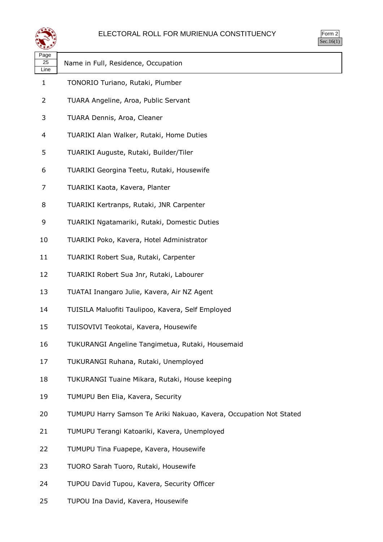



| ≍±≠                |                                                                    |
|--------------------|--------------------------------------------------------------------|
| Page<br>25<br>Line | Name in Full, Residence, Occupation                                |
| 1                  | TONORIO Turiano, Rutaki, Plumber                                   |
| 2                  | TUARA Angeline, Aroa, Public Servant                               |
| 3                  | TUARA Dennis, Aroa, Cleaner                                        |
| 4                  | TUARIKI Alan Walker, Rutaki, Home Duties                           |
| 5                  | TUARIKI Auguste, Rutaki, Builder/Tiler                             |
| 6                  | TUARIKI Georgina Teetu, Rutaki, Housewife                          |
| 7                  | TUARIKI Kaota, Kavera, Planter                                     |
| 8                  | TUARIKI Kertranps, Rutaki, JNR Carpenter                           |
| 9                  | TUARIKI Ngatamariki, Rutaki, Domestic Duties                       |
| 10                 | TUARIKI Poko, Kavera, Hotel Administrator                          |
| 11                 | TUARIKI Robert Sua, Rutaki, Carpenter                              |
| 12                 | TUARIKI Robert Sua Jnr, Rutaki, Labourer                           |
| 13                 | TUATAI Inangaro Julie, Kavera, Air NZ Agent                        |
| 14                 | TUISILA Maluofiti Taulipoo, Kavera, Self Employed                  |
| 15                 | TUISOVIVI Teokotai, Kavera, Housewife                              |
| 16                 | TUKURANGI Angeline Tangimetua, Rutaki, Housemaid                   |
| 17                 | TUKURANGI Ruhana, Rutaki, Unemployed                               |
| 18                 | TUKURANGI Tuaine Mikara, Rutaki, House keeping                     |
| 19                 | TUMUPU Ben Elia, Kavera, Security                                  |
| 20                 | TUMUPU Harry Samson Te Ariki Nakuao, Kavera, Occupation Not Stated |
| 21                 | TUMUPU Terangi Katoariki, Kavera, Unemployed                       |
| 22                 | TUMUPU Tina Fuapepe, Kavera, Housewife                             |
| 23                 | TUORO Sarah Tuoro, Rutaki, Housewife                               |
| 24                 | TUPOU David Tupou, Kavera, Security Officer                        |

TUPOU Ina David, Kavera, Housewife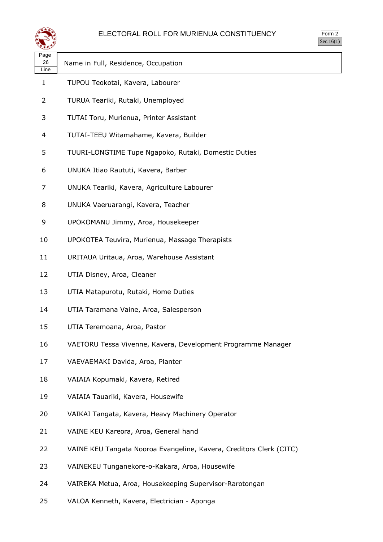

| Page |                                     |
|------|-------------------------------------|
| 26   | Name in Full, Residence, Occupation |
| Line |                                     |

- TUPOU Teokotai, Kavera, Labourer
- TURUA Teariki, Rutaki, Unemployed
- TUTAI Toru, Murienua, Printer Assistant
- TUTAI-TEEU Witamahame, Kavera, Builder
- TUURI-LONGTIME Tupe Ngapoko, Rutaki, Domestic Duties
- UNUKA Itiao Raututi, Kavera, Barber
- UNUKA Teariki, Kavera, Agriculture Labourer
- UNUKA Vaeruarangi, Kavera, Teacher
- UPOKOMANU Jimmy, Aroa, Housekeeper
- UPOKOTEA Teuvira, Murienua, Massage Therapists
- URITAUA Uritaua, Aroa, Warehouse Assistant
- UTIA Disney, Aroa, Cleaner
- UTIA Matapurotu, Rutaki, Home Duties
- UTIA Taramana Vaine, Aroa, Salesperson
- UTIA Teremoana, Aroa, Pastor
- VAETORU Tessa Vivenne, Kavera, Development Programme Manager
- VAEVAEMAKI Davida, Aroa, Planter
- VAIAIA Kopumaki, Kavera, Retired
- VAIAIA Tauariki, Kavera, Housewife
- VAIKAI Tangata, Kavera, Heavy Machinery Operator
- VAINE KEU Kareora, Aroa, General hand
- VAINE KEU Tangata Nooroa Evangeline, Kavera, Creditors Clerk (CITC)
- VAINEKEU Tunganekore-o-Kakara, Aroa, Housewife
- VAIREKA Metua, Aroa, Housekeeping Supervisor-Rarotongan
- VALOA Kenneth, Kavera, Electrician Aponga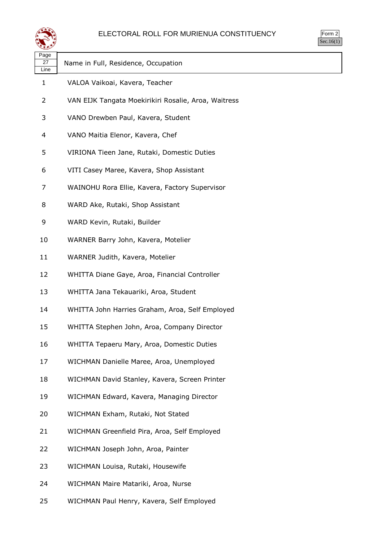

| orm<br>╭ |
|----------|
| ` 1      |

| لتستعيض            |                                                      | $\sim$ |
|--------------------|------------------------------------------------------|--------|
| Page<br>27<br>Line | Name in Full, Residence, Occupation                  |        |
| $\mathbf{1}$       | VALOA Vaikoai, Kavera, Teacher                       |        |
| 2                  | VAN EIJK Tangata Moekirikiri Rosalie, Aroa, Waitress |        |
| 3                  | VANO Drewben Paul, Kavera, Student                   |        |
| 4                  | VANO Maitia Elenor, Kavera, Chef                     |        |
| 5                  | VIRIONA Tieen Jane, Rutaki, Domestic Duties          |        |
| 6                  | VITI Casey Maree, Kavera, Shop Assistant             |        |
| 7                  | WAINOHU Rora Ellie, Kavera, Factory Supervisor       |        |
| 8                  | WARD Ake, Rutaki, Shop Assistant                     |        |
| 9                  | WARD Kevin, Rutaki, Builder                          |        |
| 10                 | WARNER Barry John, Kavera, Motelier                  |        |
| 11                 | WARNER Judith, Kavera, Motelier                      |        |
| 12                 | WHITTA Diane Gaye, Aroa, Financial Controller        |        |
| 13                 | WHITTA Jana Tekauariki, Aroa, Student                |        |
| 14                 | WHITTA John Harries Graham, Aroa, Self Employed      |        |
| 15                 | WHITTA Stephen John, Aroa, Company Director          |        |
| 16                 | WHITTA Tepaeru Mary, Aroa, Domestic Duties           |        |
| 17                 | WICHMAN Danielle Maree, Aroa, Unemployed             |        |
| 18                 | WICHMAN David Stanley, Kavera, Screen Printer        |        |
| 19                 | WICHMAN Edward, Kavera, Managing Director            |        |
| 20                 | WICHMAN Exham, Rutaki, Not Stated                    |        |
| 21                 | WICHMAN Greenfield Pira, Aroa, Self Employed         |        |
| 22                 | WICHMAN Joseph John, Aroa, Painter                   |        |
| 23                 | WICHMAN Louisa, Rutaki, Housewife                    |        |
| 24                 | WICHMAN Maire Matariki, Aroa, Nurse                  |        |
| 25                 | WICHMAN Paul Henry, Kavera, Self Employed            |        |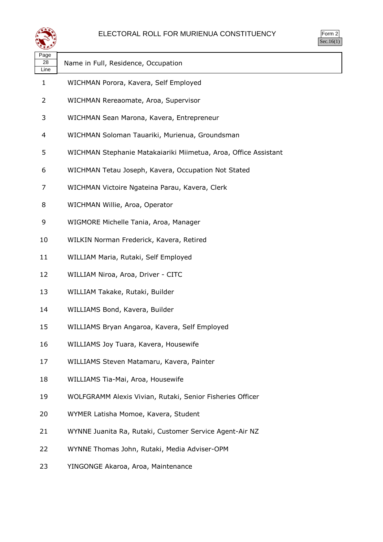

| orm<br>╯ |
|----------|
| ۰ ا      |

| ◝                  |                                                                 |
|--------------------|-----------------------------------------------------------------|
| Page<br>28<br>Line | Name in Full, Residence, Occupation                             |
| 1                  | WICHMAN Porora, Kavera, Self Employed                           |
| 2                  | WICHMAN Rereaomate, Aroa, Supervisor                            |
| 3                  | WICHMAN Sean Marona, Kavera, Entrepreneur                       |
| 4                  | WICHMAN Soloman Tauariki, Murienua, Groundsman                  |
| 5                  | WICHMAN Stephanie Matakaiariki Miimetua, Aroa, Office Assistant |
| 6                  | WICHMAN Tetau Joseph, Kavera, Occupation Not Stated             |
| 7                  | WICHMAN Victoire Ngateina Parau, Kavera, Clerk                  |
| 8                  | WICHMAN Willie, Aroa, Operator                                  |
| 9                  | WIGMORE Michelle Tania, Aroa, Manager                           |
| 10                 | WILKIN Norman Frederick, Kavera, Retired                        |
| 11                 | WILLIAM Maria, Rutaki, Self Employed                            |
| 12                 | WILLIAM Niroa, Aroa, Driver - CITC                              |
| 13                 | WILLIAM Takake, Rutaki, Builder                                 |
| 14                 | WILLIAMS Bond, Kavera, Builder                                  |
| 15                 | WILLIAMS Bryan Angaroa, Kavera, Self Employed                   |
| 16                 | WILLIAMS Joy Tuara, Kavera, Housewife                           |
| 17                 | WILLIAMS Steven Matamaru, Kavera, Painter                       |
| 18                 | WILLIAMS Tia-Mai, Aroa, Housewife                               |
| 19                 | WOLFGRAMM Alexis Vivian, Rutaki, Senior Fisheries Officer       |
| 20                 | WYMER Latisha Momoe, Kavera, Student                            |
| 21                 | WYNNE Juanita Ra, Rutaki, Customer Service Agent-Air NZ         |
| 22                 | WYNNE Thomas John, Rutaki, Media Adviser-OPM                    |
| 23                 | YINGONGE Akaroa, Aroa, Maintenance                              |